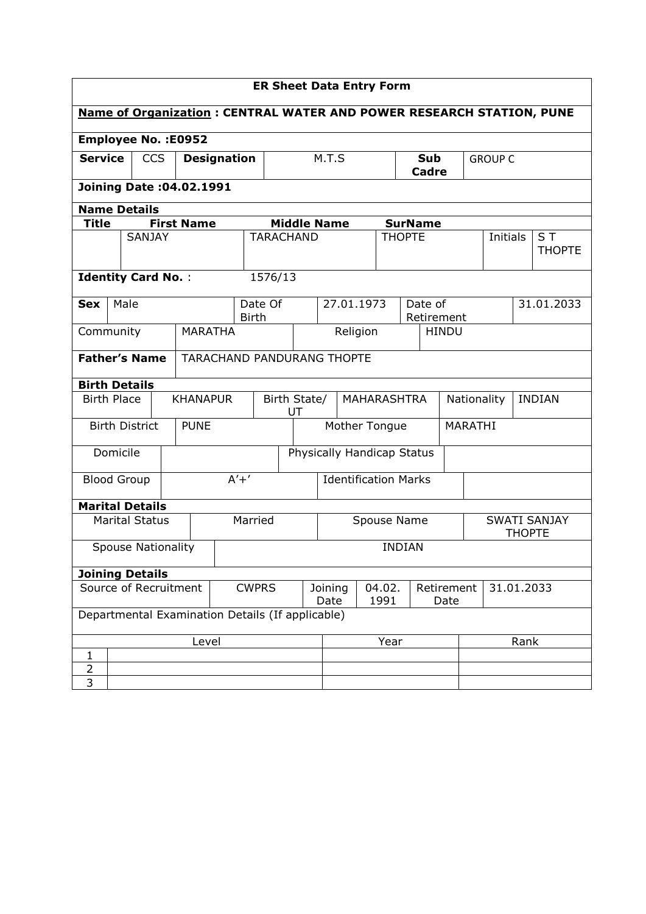| <b>ER Sheet Data Entry Form</b>                                             |                                  |                           |                   |                                   |                 |                                      |                    |                     |               |                       |                                      |          |  |                      |            |
|-----------------------------------------------------------------------------|----------------------------------|---------------------------|-------------------|-----------------------------------|-----------------|--------------------------------------|--------------------|---------------------|---------------|-----------------------|--------------------------------------|----------|--|----------------------|------------|
| <b>Name of Organization: CENTRAL WATER AND POWER RESEARCH STATION, PUNE</b> |                                  |                           |                   |                                   |                 |                                      |                    |                     |               |                       |                                      |          |  |                      |            |
| <b>Employee No.: E0952</b>                                                  |                                  |                           |                   |                                   |                 |                                      |                    |                     |               |                       |                                      |          |  |                      |            |
| <b>Service</b>                                                              | <b>CCS</b><br><b>Designation</b> |                           |                   |                                   |                 | M.T.S                                |                    | Sub<br><b>Cadre</b> |               |                       | <b>GROUP C</b>                       |          |  |                      |            |
|                                                                             | <b>Joining Date: 04.02.1991</b>  |                           |                   |                                   |                 |                                      |                    |                     |               |                       |                                      |          |  |                      |            |
| <b>Name Details</b>                                                         |                                  |                           |                   |                                   |                 |                                      |                    |                     |               |                       |                                      |          |  |                      |            |
| Title                                                                       |                                  |                           | <b>First Name</b> |                                   |                 |                                      | <b>Middle Name</b> |                     |               | <b>SurName</b>        |                                      |          |  |                      |            |
|                                                                             |                                  | <b>SANJAY</b>             |                   |                                   |                 | <b>TARACHAND</b><br><b>THOPTE</b>    |                    |                     |               |                       |                                      | Initials |  | ST.<br><b>THOPTE</b> |            |
|                                                                             |                                  | <b>Identity Card No.:</b> |                   |                                   | 1576/13         |                                      |                    |                     |               |                       |                                      |          |  |                      |            |
| <b>Sex</b>                                                                  | Male                             |                           |                   | <b>Birth</b>                      | Date Of         |                                      | 27.01.1973         |                     |               | Date of<br>Retirement |                                      |          |  |                      | 31.01.2033 |
| <b>MARATHA</b><br>Community                                                 |                                  |                           |                   |                                   |                 | Religion                             |                    |                     |               | <b>HINDU</b>          |                                      |          |  |                      |            |
|                                                                             |                                  | <b>Father's Name</b>      |                   | <b>TARACHAND PANDURANG THOPTE</b> |                 |                                      |                    |                     |               |                       |                                      |          |  |                      |            |
| <b>Birth Details</b>                                                        |                                  |                           |                   |                                   |                 |                                      |                    |                     |               |                       |                                      |          |  |                      |            |
| <b>Birth Place</b>                                                          |                                  |                           | <b>KHANAPUR</b>   |                                   | Birth State/    | UT                                   | MAHARASHTRA        |                     |               |                       | <b>INDIAN</b><br>Nationality         |          |  |                      |            |
|                                                                             |                                  | <b>Birth District</b>     | <b>PUNE</b>       |                                   |                 | Mother Tongue                        |                    |                     |               | MARATHI               |                                      |          |  |                      |            |
|                                                                             | Domicile                         |                           |                   |                                   |                 | Physically Handicap Status           |                    |                     |               |                       |                                      |          |  |                      |            |
|                                                                             | <b>Blood Group</b>               |                           |                   | $A'+'$                            |                 | <b>Identification Marks</b>          |                    |                     |               |                       |                                      |          |  |                      |            |
|                                                                             |                                  | <b>Marital Details</b>    |                   |                                   |                 |                                      |                    |                     |               |                       |                                      |          |  |                      |            |
|                                                                             |                                  | <b>Marital Status</b>     |                   | Married                           |                 | Spouse Name                          |                    |                     |               |                       | <b>SWATI SANJAY</b><br><b>THOPTE</b> |          |  |                      |            |
|                                                                             |                                  | <b>Spouse Nationality</b> |                   |                                   |                 |                                      |                    |                     | <b>INDIAN</b> |                       |                                      |          |  |                      |            |
|                                                                             |                                  | <b>Joining Details</b>    |                   |                                   |                 |                                      |                    |                     |               |                       |                                      |          |  |                      |            |
| Source of Recruitment<br><b>CWPRS</b>                                       |                                  |                           |                   |                                   | Joining<br>Date | 04.02.<br>Retirement<br>1991<br>Date |                    |                     | 31.01.2033    |                       |                                      |          |  |                      |            |
| Departmental Examination Details (If applicable)                            |                                  |                           |                   |                                   |                 |                                      |                    |                     |               |                       |                                      |          |  |                      |            |
| Level                                                                       |                                  |                           |                   |                                   |                 | Year<br>Rank                         |                    |                     |               |                       |                                      |          |  |                      |            |
| $\mathbf{1}$                                                                |                                  |                           |                   |                                   |                 |                                      |                    |                     |               |                       |                                      |          |  |                      |            |
| $\overline{2}$<br>3                                                         |                                  |                           |                   |                                   |                 |                                      |                    |                     |               |                       |                                      |          |  |                      |            |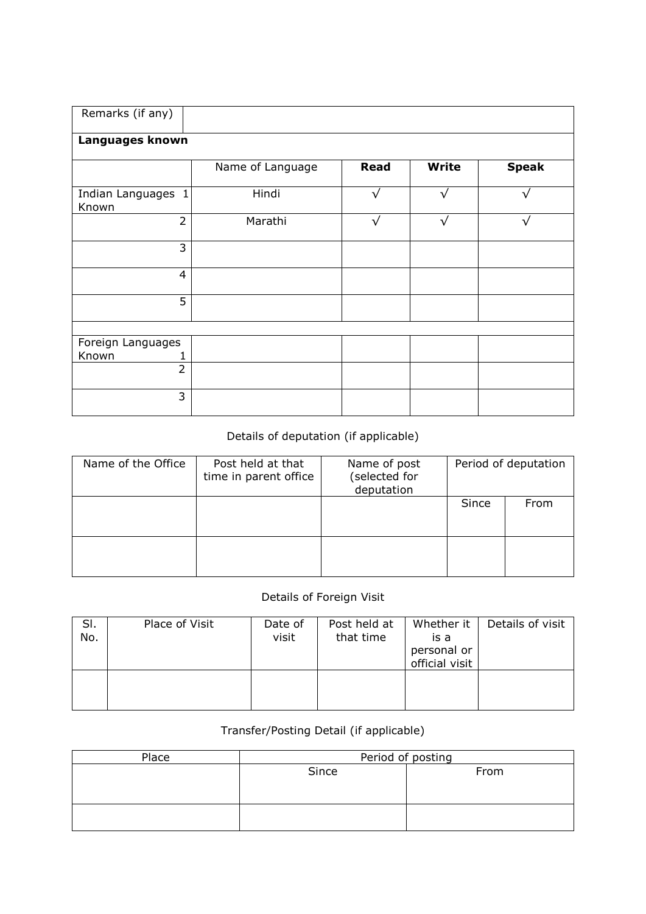| Remarks (if any)            |                  |             |              |              |
|-----------------------------|------------------|-------------|--------------|--------------|
| Languages known             |                  |             |              |              |
|                             | Name of Language | <b>Read</b> | <b>Write</b> | <b>Speak</b> |
| Indian Languages 1<br>Known | Hindi            | $\sqrt{}$   | $\sqrt{}$    | $\sqrt{}$    |
| $\overline{2}$              | Marathi          | $\sqrt{}$   | $\sqrt{}$    | $\sqrt{}$    |
| 3                           |                  |             |              |              |
| $\overline{4}$              |                  |             |              |              |
| 5                           |                  |             |              |              |
|                             |                  |             |              |              |
| Foreign Languages           |                  |             |              |              |
| Known                       |                  |             |              |              |
| $\overline{2}$              |                  |             |              |              |
| 3                           |                  |             |              |              |

## Details of deputation (if applicable)

| Name of the Office | Post held at that<br>time in parent office | Name of post<br>(selected for<br>deputation | Period of deputation |      |  |  |
|--------------------|--------------------------------------------|---------------------------------------------|----------------------|------|--|--|
|                    |                                            |                                             | Since                | From |  |  |
|                    |                                            |                                             |                      |      |  |  |

## Details of Foreign Visit

| SI.<br>No. | Place of Visit | Date of<br>visit | Post held at<br>that time | Whether it<br>is a<br>personal or<br>official visit | Details of visit |
|------------|----------------|------------------|---------------------------|-----------------------------------------------------|------------------|
|            |                |                  |                           |                                                     |                  |

## Transfer/Posting Detail (if applicable)

| Place | Period of posting |      |  |  |  |  |  |
|-------|-------------------|------|--|--|--|--|--|
|       | Since             | From |  |  |  |  |  |
|       |                   |      |  |  |  |  |  |
|       |                   |      |  |  |  |  |  |
|       |                   |      |  |  |  |  |  |
|       |                   |      |  |  |  |  |  |